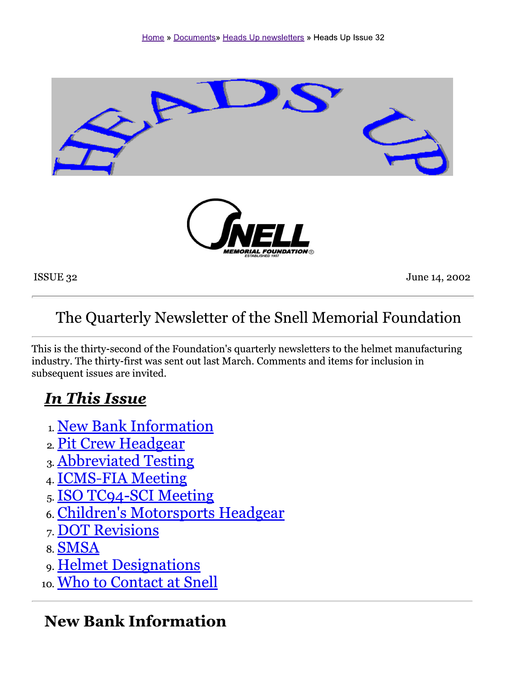

ISSUE 32

June 14, 2002

# The Quarterly Newsletter of the Snell Memorial Foundation

This is the thirty-second of the Foundation's quarterly newsletters to the helmet manufacturing industry. The thirty-first was sent out last March. Comments and items for inclusion in subsequent issues are invited.

## **In This Issue**

- 1. New Bank Information
- 2. Pit Crew Headgear
- 3. Abbreviated Testing
- 4. **ICMS-FIA Meeting**
- 5. ISO TC94-SCI Meeting
- 6. Children's Motorsports Headgear
- 7. DOT Revisions
- 8. SMSA
- 9. Helmet Designations
- 10. Who to Contact at Snell

#### **New Bank Information**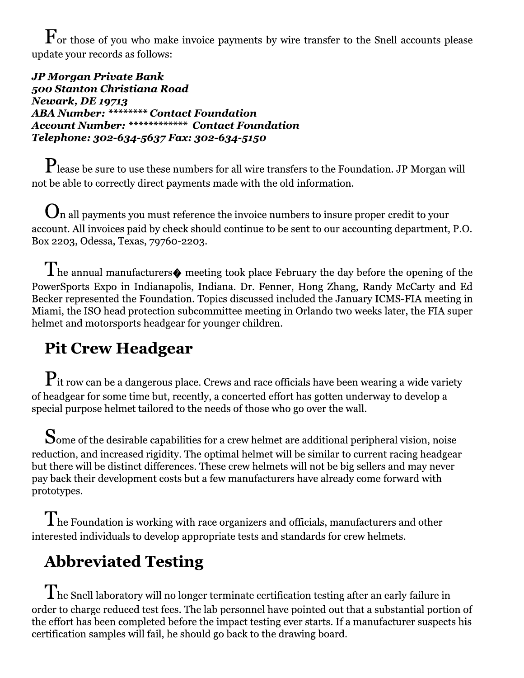$\mathbf F$  or those of you who make invoice payments by wire transfer to the Snell accounts please update your records as follows:

**JP Morgan Private Bank** 500 Stanton Christiana Road **Newark, DE 19713 ABA Number: \*\*\*\*\*\*\*\* Contact Foundation** Account Number: \*\*\*\*\*\*\*\*\*\*\*\*\* Contact Foundation Telephone: 302-634-5637 Fax: 302-634-5150

 $\mathbf{P}_{\text{lease}}$  be sure to use these numbers for all wire transfers to the Foundation. JP Morgan will not be able to correctly direct payments made with the old information.

 $\mathbf{U}$ n all payments you must reference the invoice numbers to insure proper credit to your account. All invoices paid by check should continue to be sent to our accounting department, P.O. Box 2203, Odessa, Texas, 79760-2203.

 $\prod$ he annual manufacturers $\spadesuit$  meeting took place February the day before the opening of the PowerSports Expo in Indianapolis, Indiana. Dr. Fenner, Hong Zhang, Randy McCarty and Ed Becker represented the Foundation. Topics discussed included the January ICMS-FIA meeting in Miami, the ISO head protection subcommittee meeting in Orlando two weeks later, the FIA super helmet and motorsports headgear for younger children.

# **Pit Crew Headgear**

 $\mathbf{P}_{\text{it}}$  row can be a dangerous place. Crews and race officials have been wearing a wide variety of headgear for some time but, recently, a concerted effort has gotten underway to develop a special purpose helmet tailored to the needs of those who go over the wall.

 $\mathbf S$ ome of the desirable capabilities for a crew helmet are additional peripheral vision, noise reduction, and increased rigidity. The optimal helmet will be similar to current racing headgear but there will be distinct differences. These crew helmets will not be big sellers and may never pay back their development costs but a few manufacturers have already come forward with prototypes.

 $\rm T$  he Foundation is working with race organizers and officials, manufacturers and other interested individuals to develop appropriate tests and standards for crew helmets.

# **Abbreviated Testing**

 $\rm T$ he Snell laboratory will no longer terminate certification testing after an early failure in order to charge reduced test fees. The lab personnel have pointed out that a substantial portion of the effort has been completed before the impact testing ever starts. If a manufacturer suspects his certification samples will fail, he should go back to the drawing board.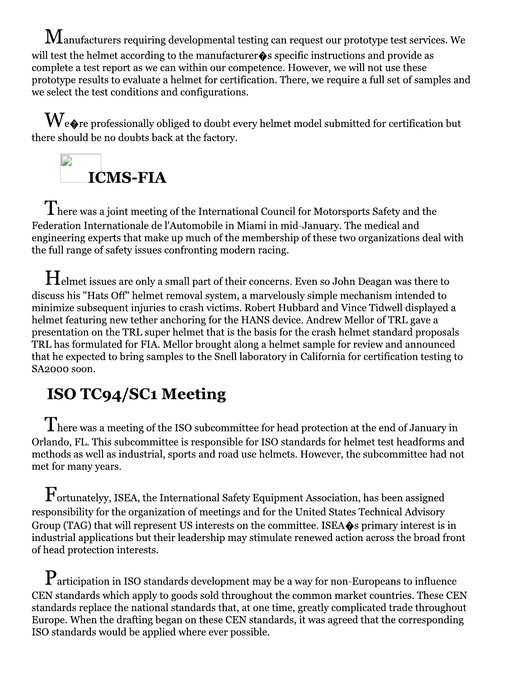$\bf{M}$ anufacturers requiring developmental testing can request our prototype test services. We will test the helmet according to the manufacturer  $\hat{\mathbf{\bullet}}$  s specific instructions and provide as complete a test report as we can within our competence. However, we will not use these prototype results to evaluate a helmet for certification. There, we require a full set of samples and we select the test conditions and configurations.

 $\mathbf{W}_{\mathbf{e}\bullet\mathbf{r}}$ e professionally obliged to doubt every helmet model submitted for certification but there should be no doubts back at the factory.



 $\rm T$ here was a joint meeting of the International Council for Motorsports Safety and the Federation Internationale de l'Automobile in Miami in mid-January. The medical and engineering experts that make up much of the membership of these two organizations deal with the full range of safety issues confronting modern racing.

 $\bm{\mathrm{H}}$ elmet issues are only a small part of their concerns. Even so John Deagan was there to discuss his "Hats Off" helmet removal system, a marvelously simple mechanism intended to minimize subsequent injuries to crash victims. Robert Hubbard and Vince Tidwell displayed a helmet featuring new tether anchoring for the HANS device. Andrew Mellor of TRL gave a presentation on the TRL super helmet that is the basis for the crash helmet standard proposals TRL has formulated for FIA. Mellor brought along a helmet sample for review and announced that he expected to bring samples to the Snell laboratory in California for certification testing to SA<sub>2000</sub> soon.

# **ISO TC94/SC1 Meeting**

 $\rm T$ here was a meeting of the ISO subcommittee for head protection at the end of January in Orlando, FL. This subcommittee is responsible for ISO standards for helmet test headforms and methods as well as industrial, sports and road use helmets. However, the subcommittee had not met for many years.

 $\mathrm{F}_{\mathrm{ortunatelyy,\:ISEA,\,the\: International\: Safety\: Experiment\: Association,\,has\,been\, assigned}$ responsibility for the organization of meetings and for the United States Technical Advisory Group (TAG) that will represent US interests on the committee. ISEA $\diamond$ s primary interest is in industrial applications but their leadership may stimulate renewed action across the broad front of head protection interests.

 $\mathbf P$ articipation in ISO standards development may be a way for non-Europeans to influence CEN standards which apply to goods sold throughout the common market countries. These CEN standards replace the national standards that, at one time, greatly complicated trade throughout Europe. When the drafting began on these CEN standards, it was agreed that the corresponding ISO standards would be applied where ever possible.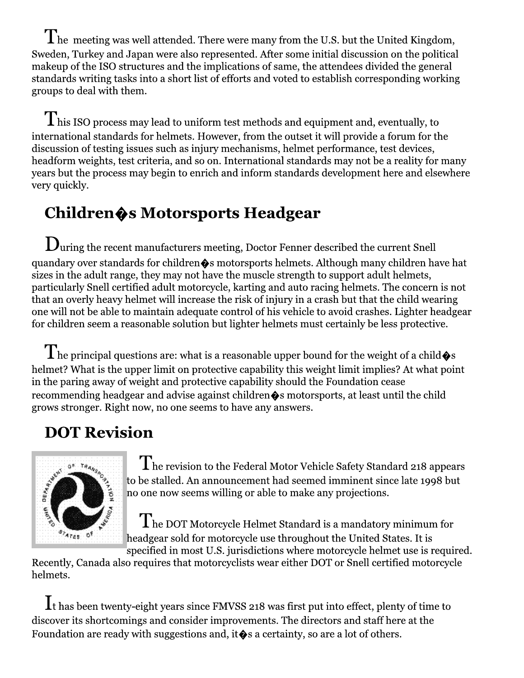$\rm \bf T$  he meeting was well attended. There were many from the U.S. but the United Kingdom, Sweden, Turkey and Japan were also represented. After some initial discussion on the political makeup of the ISO structures and the implications of same, the attendees divided the general standards writing tasks into a short list of efforts and voted to establish corresponding working groups to deal with them.

 $\rm T$ his ISO process may lead to uniform test methods and equipment and, eventually, to international standards for helmets. However, from the outset it will provide a forum for the discussion of testing issues such as injury mechanisms, helmet performance, test devices, headform weights, test criteria, and so on. International standards may not be a reality for many years but the process may begin to enrich and inform standards development here and elsewhere very quickly.

# Children $\hat{\mathbf{\bullet}}$ s Motorsports Headgear

 ${\bf D}$ uring the recent manufacturers meeting, Doctor Fenner described the current Snell quandary over standards for children $\hat{\bullet}$ s motorsports helmets. Although many children have hat sizes in the adult range, they may not have the muscle strength to support adult helmets, particularly Snell certified adult motorcycle, karting and auto racing helmets. The concern is not that an overly heavy helmet will increase the risk of injury in a crash but that the child wearing one will not be able to maintain adequate control of his vehicle to avoid crashes. Lighter headgear for children seem a reasonable solution but lighter helmets must certainly be less protective.

 $\rm T$  he principal questions are: what is a reasonable upper bound for the weight of a child  $\rm \bullet$ s helmet? What is the upper limit on protective capability this weight limit implies? At what point in the paring away of weight and protective capability should the Foundation cease recommending headgear and advise against children  $\hat{\bullet}$ s motorsports, at least until the child grows stronger. Right now, no one seems to have any answers.

# **DOT Revision**



 $\rm T$  he revision to the Federal Motor Vehicle Safety Standard 218 appears to be stalled. An announcement had seemed imminent since late 1998 but no one now seems willing or able to make any projections.

 $\rm \bf \hat I$  he DOT Motorcycle Helmet Standard is a mandatory minimum for headgear sold for motorcycle use throughout the United States. It is specified in most U.S. jurisdictions where motorcycle helmet use is required.

Recently, Canada also requires that motorcyclists wear either DOT or Snell certified motorcycle helmets.

 $\mathbf{I}$  t has been twenty-eight years since FMVSS 218 was first put into effect, plenty of time to discover its shortcomings and consider improvements. The directors and staff here at the Foundation are ready with suggestions and, it  $\diamond$  a certainty, so are a lot of others.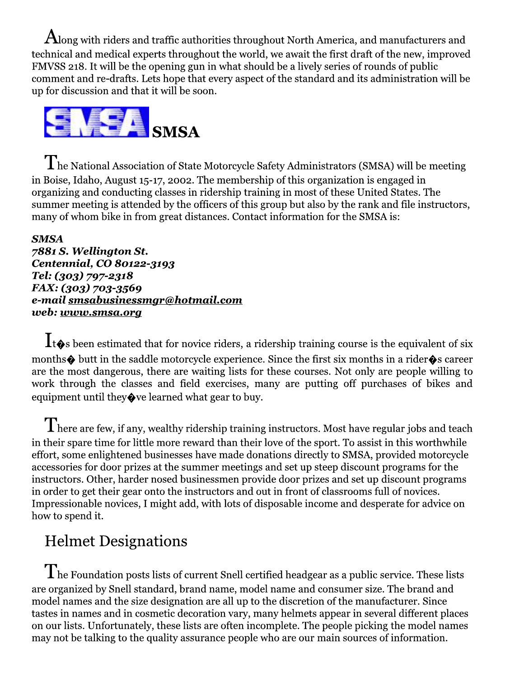${\rm\bf A}$ long with riders and traffic authorities throughout North America, and manufacturers and technical and medical experts throughout the world, we await the first draft of the new, improved FMVSS 218. It will be the opening gun in what should be a lively series of rounds of public comment and re-drafts. Lets hope that every aspect of the standard and its administration will be up for discussion and that it will be soon.



 $\rm T$ he National Association of State Motorcycle Safety Administrators (SMSA) will be meeting in Boise, Idaho, August 15-17, 2002. The membership of this organization is engaged in organizing and conducting classes in ridership training in most of these United States. The summer meeting is attended by the officers of this group but also by the rank and file instructors, many of whom bike in from great distances. Contact information for the SMSA is:

#### **SMSA** 7881 S. Wellington St. Centennial, CO 80122-3193 Tel: (303) 797-2318 FAX: (303) 703-3569 e-mail smsabusinessmgr@hotmail.com web: www.smsa.org

 $\mathbf{1}_{\mathbf{t}}$  been estimated that for novice riders, a ridership training course is the equivalent of six months  $\spadesuit$  butt in the saddle motorcycle experience. Since the first six months in a rider  $\spadesuit$  s career are the most dangerous, there are waiting lists for these courses. Not only are people willing to work through the classes and field exercises, many are putting off purchases of bikes and equipment until they  $\Diamond$  ve learned what gear to buy.

 $\prod$  here are few, if any, wealthy ridership training instructors. Most have regular jobs and teach in their spare time for little more reward than their love of the sport. To assist in this worthwhile effort, some enlightened businesses have made donations directly to SMSA, provided motorcycle accessories for door prizes at the summer meetings and set up steep discount programs for the instructors. Other, harder nosed businessmen provide door prizes and set up discount programs in order to get their gear onto the instructors and out in front of classrooms full of novices. Impressionable novices, I might add, with lots of disposable income and desperate for advice on how to spend it.

## **Helmet Designations**

 $\rm T$ he Foundation posts lists of current Snell certified headgear as a public service. These lists are organized by Snell standard, brand name, model name and consumer size. The brand and model names and the size designation are all up to the discretion of the manufacturer. Since tastes in names and in cosmetic decoration vary, many helmets appear in several different places on our lists. Unfortunately, these lists are often incomplete. The people picking the model names may not be talking to the quality assurance people who are our main sources of information.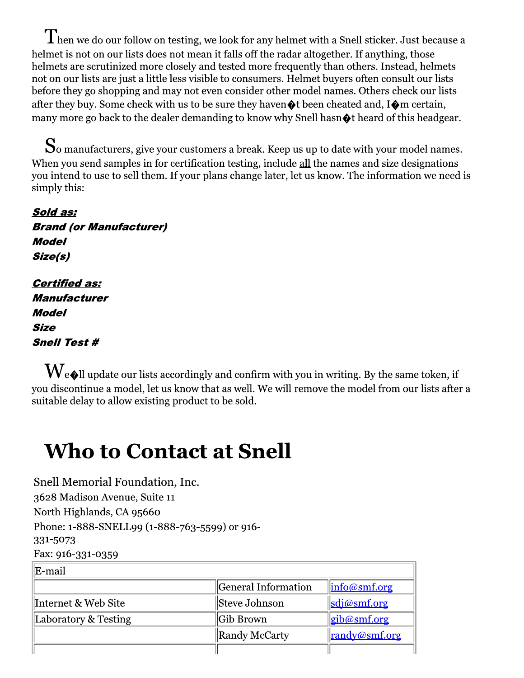$\prod$ hen we do our follow on testing, we look for any helmet with a Snell sticker. Just because a helmet is not on our lists does not mean it falls off the radar altogether. If anything, those helmets are scrutinized more closely and tested more frequently than others. Instead, helmets not on our lists are just a little less visible to consumers. Helmet buvers often consult our lists before they go shopping and may not even consider other model names. Others check our lists after they buy. Some check with us to be sure they haven  $\bullet$  been cheated and, I $\bullet$ m certain, many more go back to the dealer demanding to know why Snell hasn  $\Diamond$  the eard of this headgear.

 $\bf S$ o manufacturers, give your customers a break. Keep us up to date with your model names. When you send samples in for certification testing, include all the names and size designations you intend to use to sell them. If your plans change later, let us know. The information we need is simply this:

Sold as: **Brand (or Manufacturer) Model** Size(s) **Certified as: Manufacturer Model Size** 

**Snell Test #** 

 $\rm\bf W$ e $\bullet$ ll update our lists accordingly and confirm with you in writing. By the same token, if vou discontinue a model, let us know that as well. We will remove the model from our lists after a suitable delay to allow existing product to be sold.

# **Who to Contact at Snell**

Snell Memorial Foundation, Inc. 3628 Madison Avenue, Suite 11 North Highlands, CA 95660 Phone: 1-888-SNELL99 (1-888-763-5599) or 916-331-5073

Fax: 916-331-0359

| ∥E-mail              |                     |                                                              |
|----------------------|---------------------|--------------------------------------------------------------|
|                      | General Information | $\left\  \text{info}\textcircled{a} \text{smf.org} \right\ $ |
| ∥Internet & Web Site | Steve Johnson       | sdi@smf.org                                                  |
| Laboratory & Testing | Gib Brown           | <u>gib@smf.org</u>                                           |
|                      | Randy McCarty       | <u>randy@smf.org</u>                                         |
|                      |                     |                                                              |